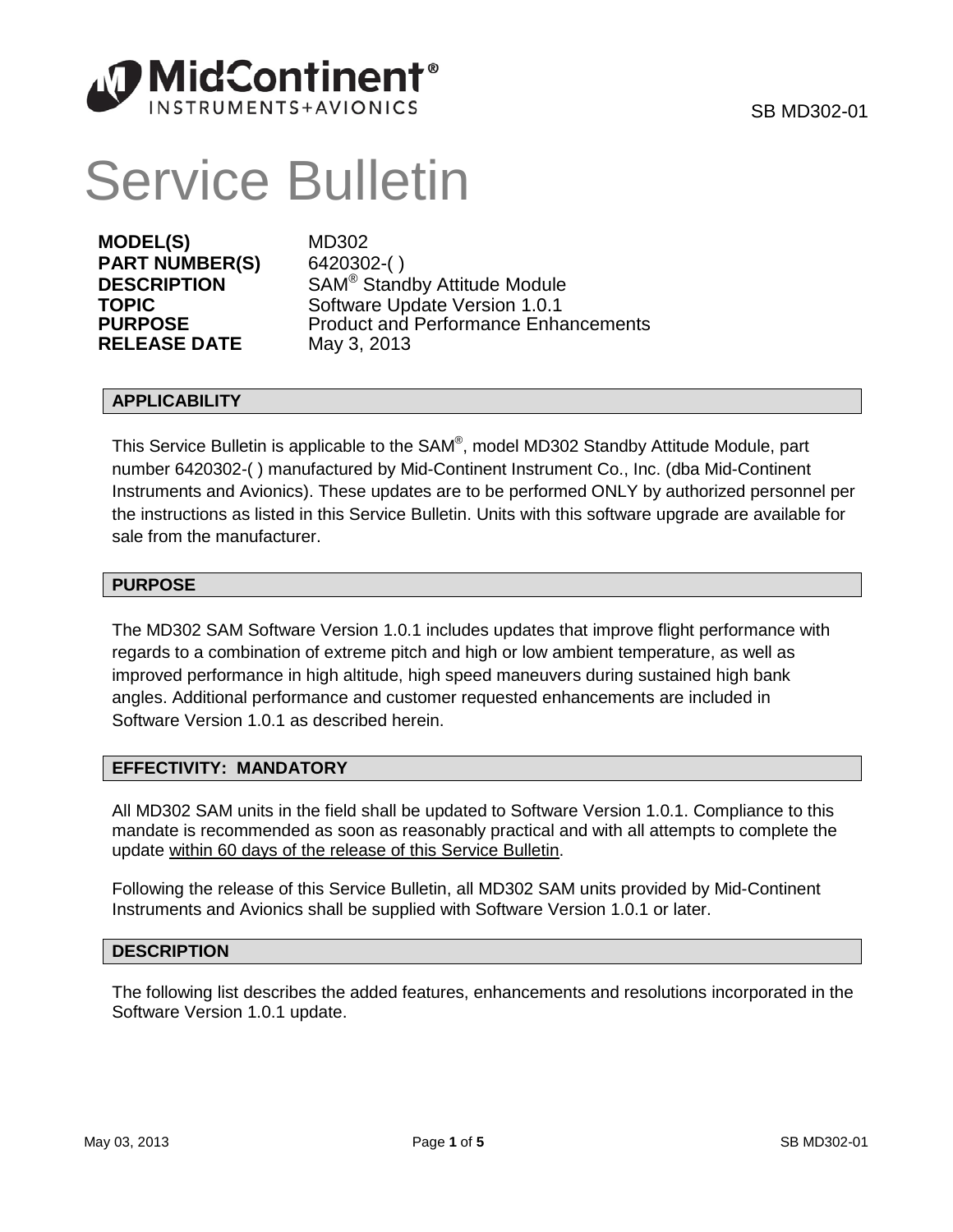

# Service Bulletin

**MODEL(S)** MD302 **PART NUMBER(S)** 6420302-( ) **RELEASE DATE** 

**DESCRIPTION** SAM<sup>®</sup> Standby Attitude Module<br>
Software Undate Version 1 0 1 **TOPIC** Software Update Version 1.0.1<br> **PURPOSE** Product and Performance Enha Product and Performance Enhancements<br>May 3, 2013

# **APPLICABILITY**

This Service Bulletin is applicable to the SAM®, model MD302 Standby Attitude Module, part number 6420302-( ) manufactured by Mid-Continent Instrument Co., Inc. (dba Mid-Continent Instruments and Avionics). These updates are to be performed ONLY by authorized personnel per the instructions as listed in this Service Bulletin. Units with this software upgrade are available for sale from the manufacturer.

## **PURPOSE**

The MD302 SAM Software Version 1.0.1 includes updates that improve flight performance with regards to a combination of extreme pitch and high or low ambient temperature, as well as improved performance in high altitude, high speed maneuvers during sustained high bank angles. Additional performance and customer requested enhancements are included in Software Version 1.0.1 as described herein.

# **EFFECTIVITY: MANDATORY**

All MD302 SAM units in the field shall be updated to Software Version 1.0.1. Compliance to this mandate is recommended as soon as reasonably practical and with all attempts to complete the update within 60 days of the release of this Service Bulletin.

Following the release of this Service Bulletin, all MD302 SAM units provided by Mid-Continent Instruments and Avionics shall be supplied with Software Version 1.0.1 or later.

# **DESCRIPTION**

The following list describes the added features, enhancements and resolutions incorporated in the Software Version 1.0.1 update.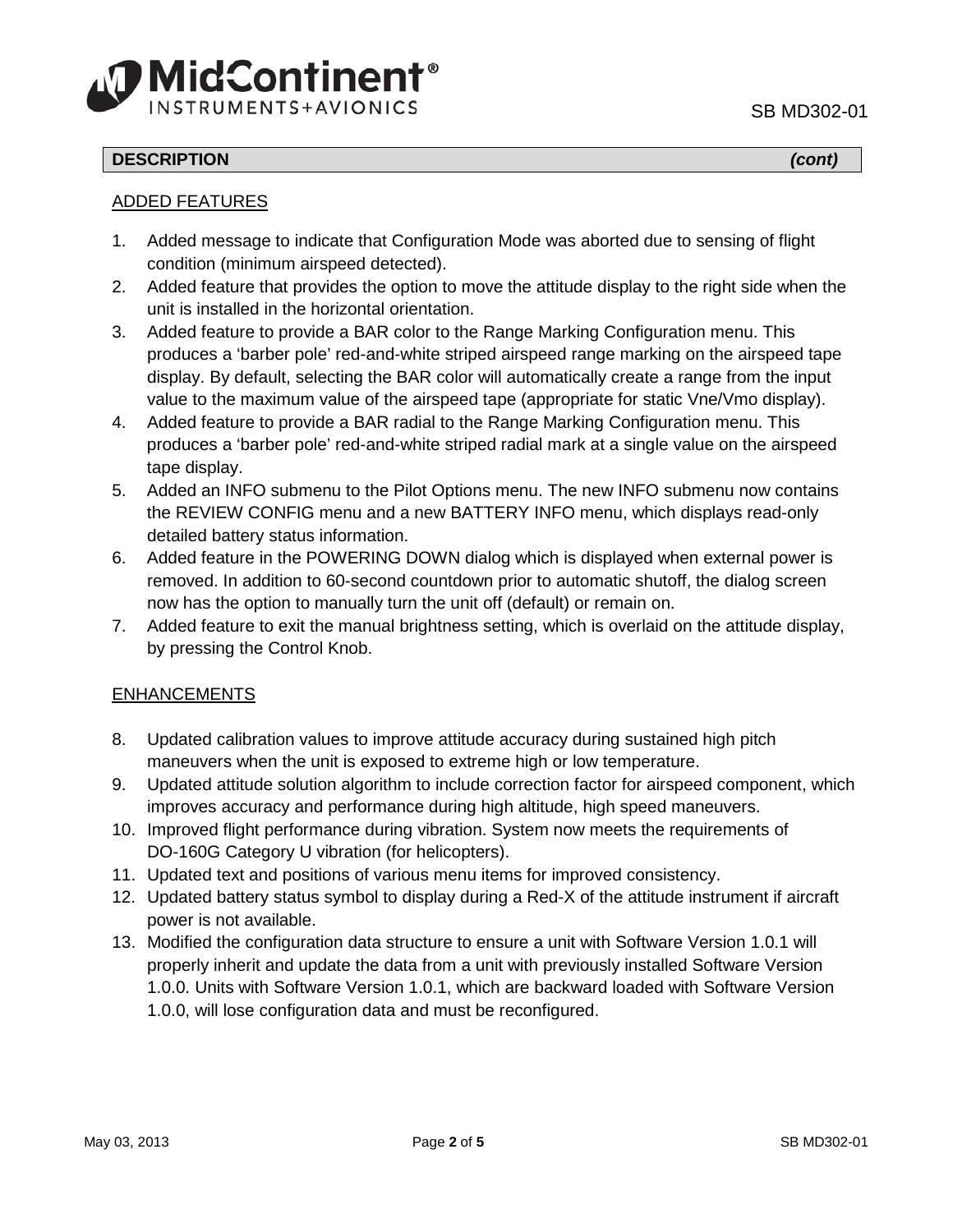

# **DESCRIPTION** *(cont)*

## ADDED FEATURES

- 1. Added message to indicate that Configuration Mode was aborted due to sensing of flight condition (minimum airspeed detected).
- 2. Added feature that provides the option to move the attitude display to the right side when the unit is installed in the horizontal orientation.
- 3. Added feature to provide a BAR color to the Range Marking Configuration menu. This produces a 'barber pole' red-and-white striped airspeed range marking on the airspeed tape display. By default, selecting the BAR color will automatically create a range from the input value to the maximum value of the airspeed tape (appropriate for static Vne/Vmo display).
- 4. Added feature to provide a BAR radial to the Range Marking Configuration menu. This produces a 'barber pole' red-and-white striped radial mark at a single value on the airspeed tape display.
- 5. Added an INFO submenu to the Pilot Options menu. The new INFO submenu now contains the REVIEW CONFIG menu and a new BATTERY INFO menu, which displays read-only detailed battery status information.
- 6. Added feature in the POWERING DOWN dialog which is displayed when external power is removed. In addition to 60-second countdown prior to automatic shutoff, the dialog screen now has the option to manually turn the unit off (default) or remain on.
- 7. Added feature to exit the manual brightness setting, which is overlaid on the attitude display, by pressing the Control Knob.

# ENHANCEMENTS

- 8. Updated calibration values to improve attitude accuracy during sustained high pitch maneuvers when the unit is exposed to extreme high or low temperature.
- 9. Updated attitude solution algorithm to include correction factor for airspeed component, which improves accuracy and performance during high altitude, high speed maneuvers.
- 10. Improved flight performance during vibration. System now meets the requirements of DO-160G Category U vibration (for helicopters).
- 11. Updated text and positions of various menu items for improved consistency.
- 12. Updated battery status symbol to display during a Red-X of the attitude instrument if aircraft power is not available.
- 13. Modified the configuration data structure to ensure a unit with Software Version 1.0.1 will properly inherit and update the data from a unit with previously installed Software Version 1.0.0. Units with Software Version 1.0.1, which are backward loaded with Software Version 1.0.0, will lose configuration data and must be reconfigured.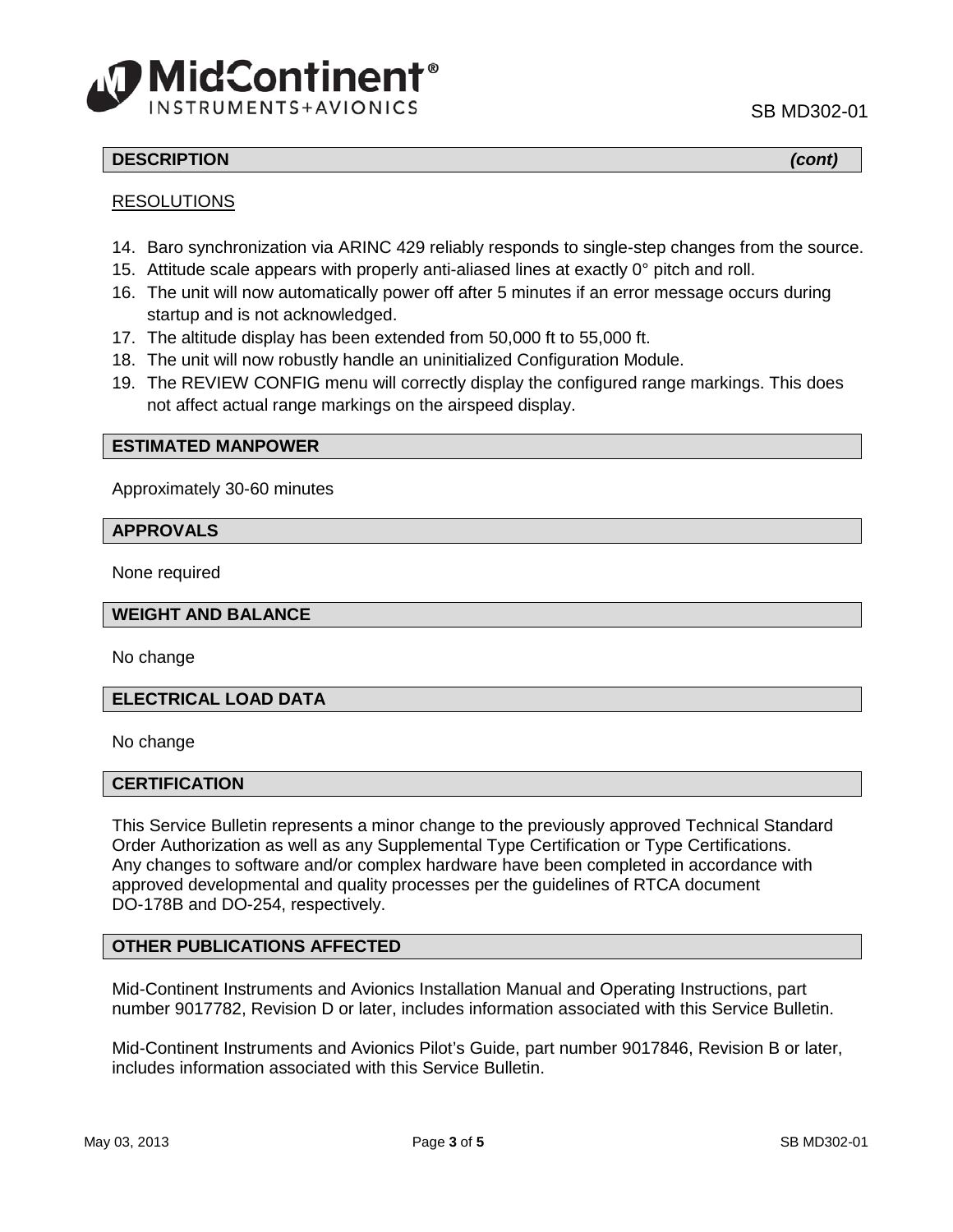



# **DESCRIPTION** *(cont)*

## RESOLUTIONS

- 14. Baro synchronization via ARINC 429 reliably responds to single-step changes from the source.
- 15. Attitude scale appears with properly anti-aliased lines at exactly 0° pitch and roll.
- 16. The unit will now automatically power off after 5 minutes if an error message occurs during startup and is not acknowledged.
- 17. The altitude display has been extended from 50,000 ft to 55,000 ft.
- 18. The unit will now robustly handle an uninitialized Configuration Module.
- 19. The REVIEW CONFIG menu will correctly display the configured range markings. This does not affect actual range markings on the airspeed display.

#### **ESTIMATED MANPOWER**

Approximately 30-60 minutes

#### **APPROVALS**

None required

#### **WEIGHT AND BALANCE**

No change

#### **ELECTRICAL LOAD DATA**

No change

#### **CERTIFICATION**

This Service Bulletin represents a minor change to the previously approved Technical Standard Order Authorization as well as any Supplemental Type Certification or Type Certifications. Any changes to software and/or complex hardware have been completed in accordance with approved developmental and quality processes per the guidelines of RTCA document DO-178B and DO-254, respectively.

## **OTHER PUBLICATIONS AFFECTED**

Mid-Continent Instruments and Avionics Installation Manual and Operating Instructions, part number 9017782, Revision D or later, includes information associated with this Service Bulletin.

Mid-Continent Instruments and Avionics Pilot's Guide, part number 9017846, Revision B or later, includes information associated with this Service Bulletin.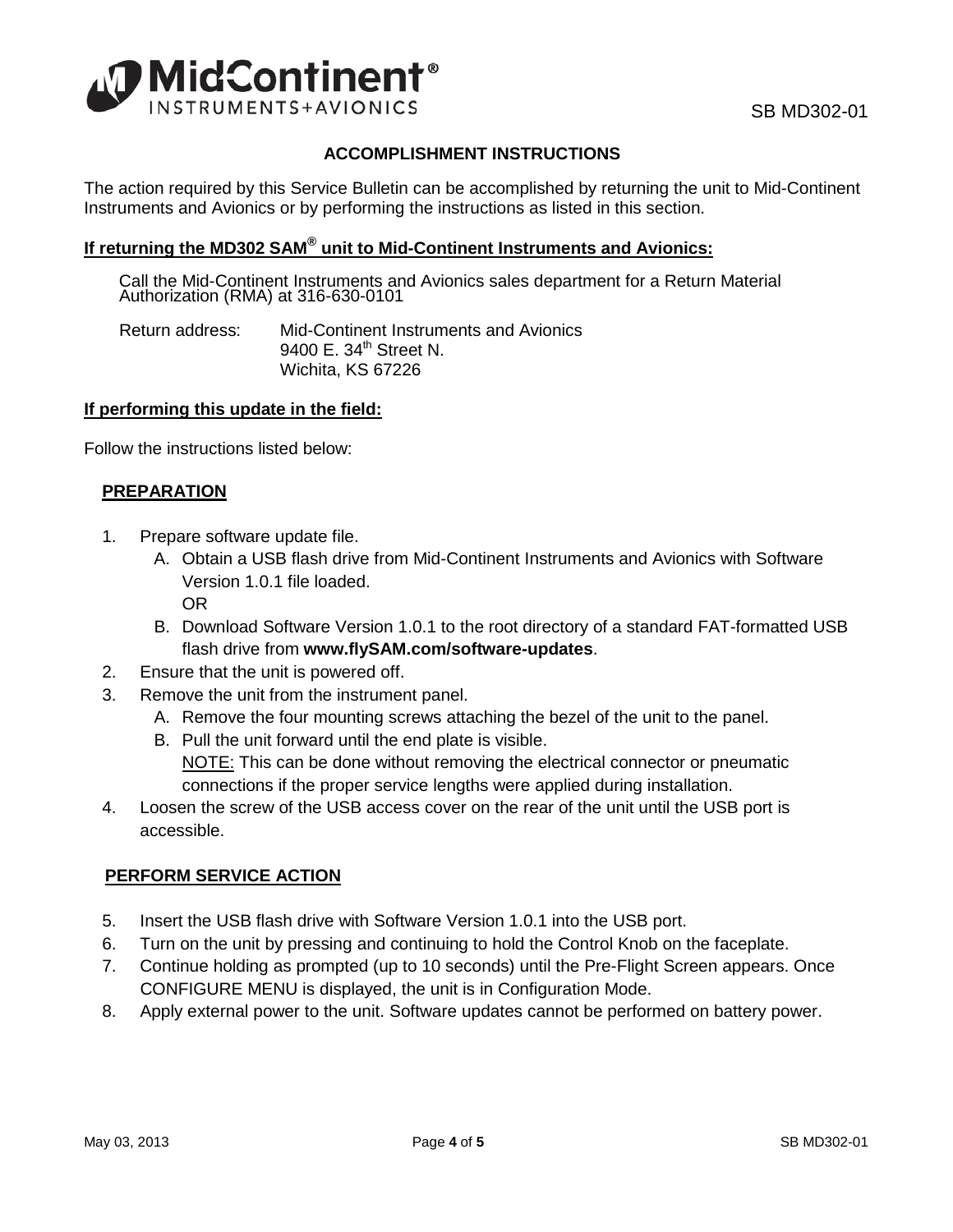

# **ACCOMPLISHMENT INSTRUCTIONS**

The action required by this Service Bulletin can be accomplished by returning the unit to Mid-Continent Instruments and Avionics or by performing the instructions as listed in this section.

# **If returning the MD302 SAM® unit to Mid-Continent Instruments and Avionics:**

Call the Mid-Continent Instruments and Avionics sales department for a Return Material Authorization (RMA) at 316-630-0101

Return address: Mid-Continent Instruments and Avionics 9400 F.  $34<sup>th</sup>$  Street N. Wichita, KS 67226

## **If performing this update in the field:**

Follow the instructions listed below:

## **PREPARATION**

- 1. Prepare software update file.
	- A. Obtain a USB flash drive from Mid-Continent Instruments and Avionics with Software Version 1.0.1 file loaded. OR
	- B. Download Software Version 1.0.1 to the root directory of a standard FAT-formatted USB flash drive from **[www.flySAM.com/software-updates](http://www.flysam.com/software-updates/)**.
- 2. Ensure that the unit is powered off.
- 3. Remove the unit from the instrument panel.
	- A. Remove the four mounting screws attaching the bezel of the unit to the panel.
	- B. Pull the unit forward until the end plate is visible.
	- NOTE: This can be done without removing the electrical connector or pneumatic connections if the proper service lengths were applied during installation.
- 4. Loosen the screw of the USB access cover on the rear of the unit until the USB port is accessible.

## **PERFORM SERVICE ACTION**

- 5. Insert the USB flash drive with Software Version 1.0.1 into the USB port.
- 6. Turn on the unit by pressing and continuing to hold the Control Knob on the faceplate.
- 7. Continue holding as prompted (up to 10 seconds) until the Pre-Flight Screen appears. Once CONFIGURE MENU is displayed, the unit is in Configuration Mode.
- 8. Apply external power to the unit. Software updates cannot be performed on battery power.